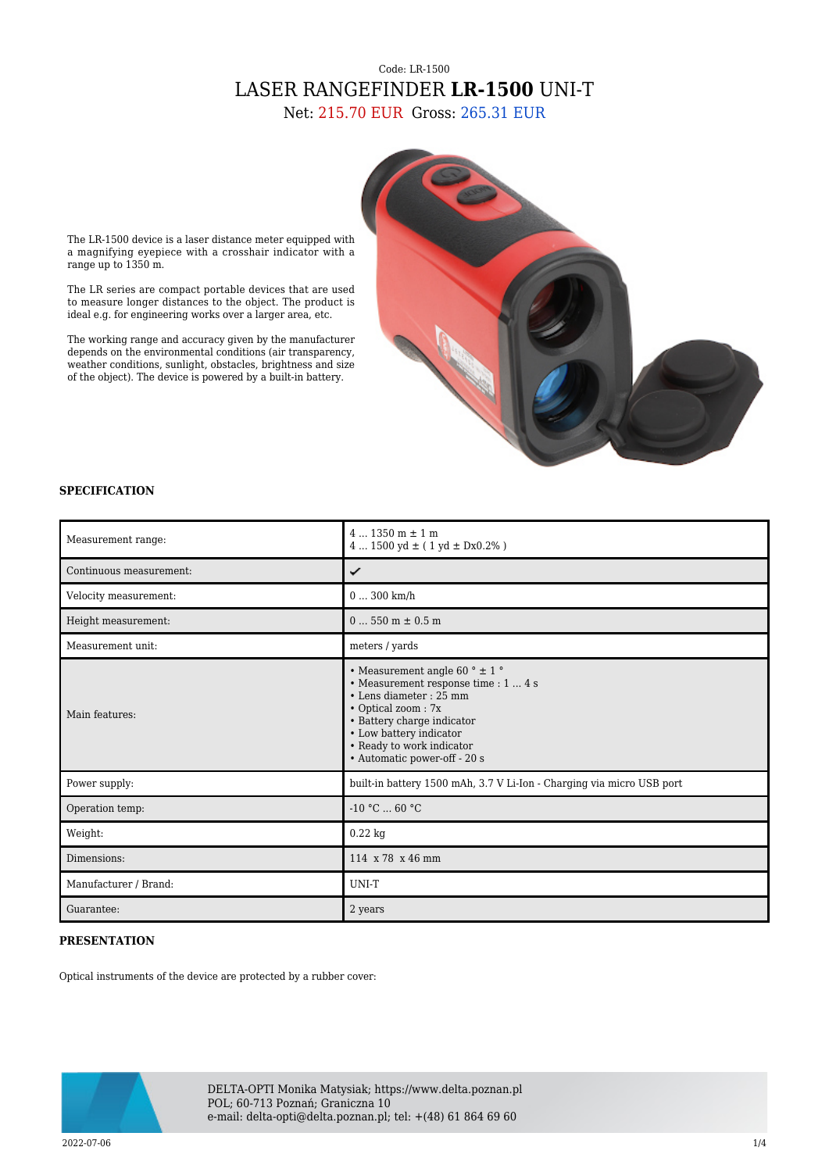## Code: LR-1500 LASER RANGEFINDER **LR-1500** UNI-T

Net: 215.70 EUR Gross: 265.31 EUR



The LR-1500 device is a laser distance meter equipped with a magnifying eyepiece with a crosshair indicator with a range up to 1350 m.

The LR series are compact portable devices that are used to measure longer distances to the object. The product is ideal e.g. for engineering works over a larger area, etc.

The working range and accuracy given by the manufacturer depends on the environmental conditions (air transparency, weather conditions, sunlight, obstacles, brightness and size of the object). The device is powered by a built-in battery.

## **SPECIFICATION**

| Measurement range:      | $41350$ m $\pm 1$ m<br>$41500 \text{ yd} \pm (1 \text{ yd} \pm \text{Dx0.2\%})$                                                                                                                                                                   |
|-------------------------|---------------------------------------------------------------------------------------------------------------------------------------------------------------------------------------------------------------------------------------------------|
| Continuous measurement: | ✓                                                                                                                                                                                                                                                 |
| Velocity measurement:   | $0300$ km/h                                                                                                                                                                                                                                       |
| Height measurement:     | $0550$ m $\pm 0.5$ m                                                                                                                                                                                                                              |
| Measurement unit:       | meters / yards                                                                                                                                                                                                                                    |
| Main features:          | • Measurement angle 60 ° $\pm$ 1 °<br>• Measurement response time : 1  4 s<br>• Lens diameter : 25 mm<br>• Optical zoom: 7x<br>• Battery charge indicator<br>• Low battery indicator<br>• Ready to work indicator<br>· Automatic power-off - 20 s |
| Power supply:           | built-in battery 1500 mAh, 3.7 V Li-Ion - Charging via micro USB port                                                                                                                                                                             |
| Operation temp:         | $-10 °C  60 °C$                                                                                                                                                                                                                                   |
| Weight:                 | $0.22$ kg                                                                                                                                                                                                                                         |
| Dimensions:             | 114 x 78 x 46 mm                                                                                                                                                                                                                                  |
| Manufacturer / Brand:   | UNI-T                                                                                                                                                                                                                                             |
| Guarantee:              | 2 years                                                                                                                                                                                                                                           |

## **PRESENTATION**

Optical instruments of the device are protected by a rubber cover:



DELTA-OPTI Monika Matysiak; https://www.delta.poznan.pl POL; 60-713 Poznań; Graniczna 10 e-mail: delta-opti@delta.poznan.pl; tel: +(48) 61 864 69 60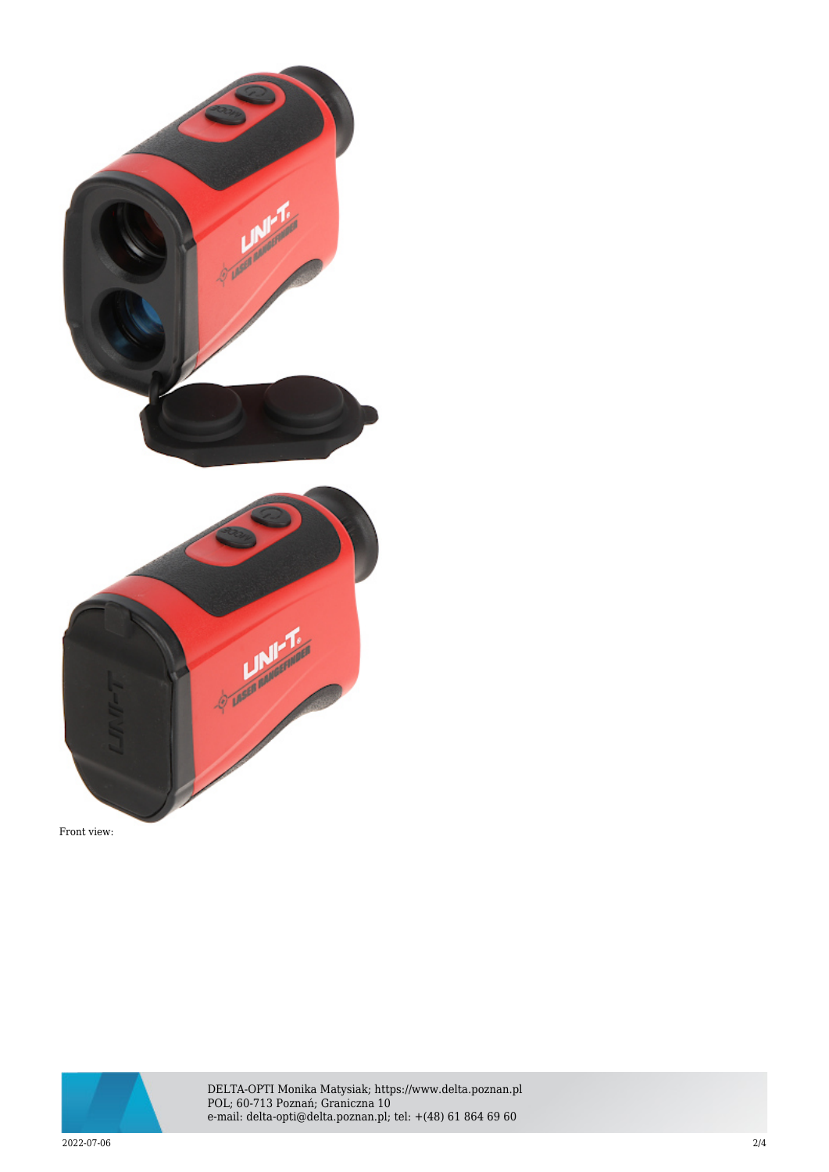

Front view:



DELTA-OPTI Monika Matysiak; https://www.delta.poznan.pl POL; 60-713 Poznań; Graniczna 10 e-mail: delta-opti@delta.poznan.pl; tel: +(48) 61 864 69 60

2022-07-06 2/4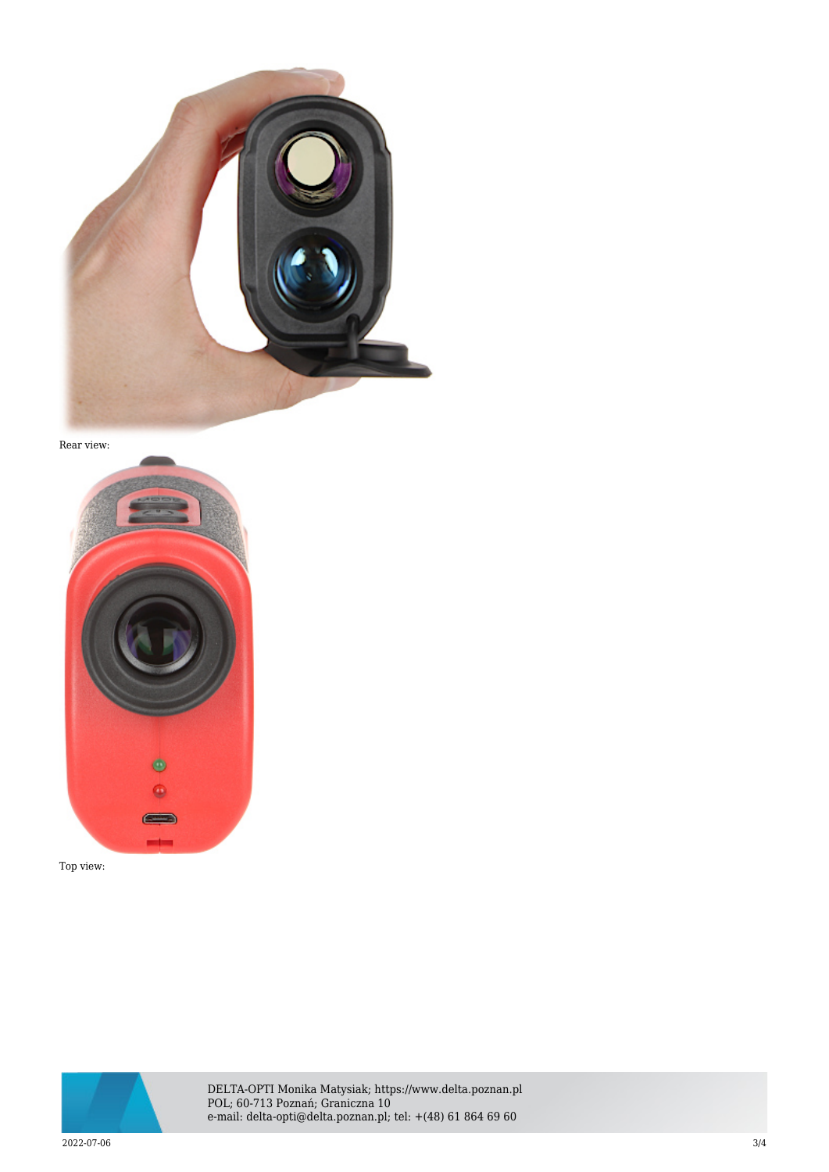

Rear view:



Top view:



DELTA-OPTI Monika Matysiak; https://www.delta.poznan.pl POL; 60-713 Poznań; Graniczna 10 e-mail: delta-opti@delta.poznan.pl; tel: +(48) 61 864 69 60

2022-07-06 3/4